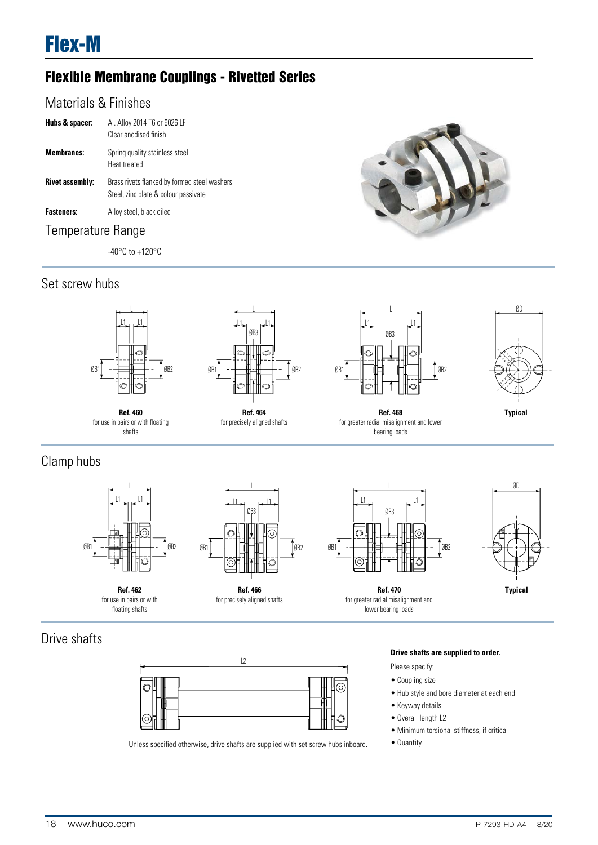# Flexible Membrane Couplings - Rivetted Series

## Materials & Finishes

| Hubs & spacer:         | AI. Alloy 2014 T6 or 6026 LF<br>Clear anodised finish                                |
|------------------------|--------------------------------------------------------------------------------------|
| <b>Membranes:</b>      | Spring quality stainless steel<br>Heat treated                                       |
| <b>Rivet assembly:</b> | Brass rivets flanked by formed steel washers<br>Steel, zinc plate & colour passivate |
| <b>Fasteners:</b>      | Alloy steel, black oiled                                                             |
|                        |                                                                                      |

## Temperature Range

-40°C to +120°C





**Ref. 460**

shafts



**Ref. 464**

for use in pairs or with floating for precisely aligned shafts



L



**Ref. 468** for greater radial misalignment and lower bearing loads

# Clamp hubs



**Ref. 462** for use in pairs or with floating shafts







**Ref. 470** for greater radial misalignment and lower bearing loads



## Drive shafts



Unless specified otherwise, drive shafts are supplied with set screw hubs inboard.

#### **Drive shafts are supplied to order.**

- Please specify:
- Coupling size
- Hub style and bore diameter at each end
- Keyway details
- Overall length L2
- Minimum torsional stiffness, if critical
- Quantity